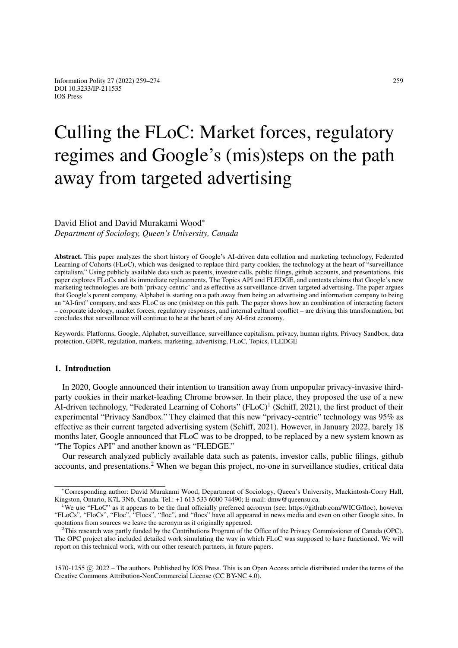# Culling the FLoC: Market forces, regulatory regimes and Google's (mis)steps on the path away from targeted advertising

David Eliot and David Murakami Wood<sup>∗</sup> *Department of Sociology, Queen's University, Canada*

Abstract. This paper analyzes the short history of Google's AI-driven data collation and marketing technology, Federated Learning of Cohorts (FLoC), which was designed to replace third-party cookies, the technology at the heart of "surveillance capitalism." Using publicly available data such as patents, investor calls, public filings, github accounts, and presentations, this paper explores FLoCs and its immediate replacements, The Topics API and FLEDGE, and contests claims that Google's new marketing technologies are both 'privacy-centric' and as effective as surveillance-driven targeted advertising. The paper argues that Google's parent company, Alphabet is starting on a path away from being an advertising and information company to being an "AI-first" company, and sees FLoC as one (mis)step on this path. The paper shows how an combination of interacting factors – corporate ideology, market forces, regulatory responses, and internal cultural conflict – are driving this transformation, but concludes that surveillance will continue to be at the heart of any AI-first economy.

Keywords: Platforms, Google, Alphabet, surveillance, surveillance capitalism, privacy, human rights, Privacy Sandbox, data protection, GDPR, regulation, markets, marketing, advertising, FLoC, Topics, FLEDGE

## 1. Introduction

In 2020, Google announced their intention to transition away from unpopular privacy-invasive thirdparty cookies in their market-leading Chrome browser. In their place, they proposed the use of a new AI-driven technology, "Federated Learning of Cohorts" (FLoC)<sup>[1](#page-0-0)</sup> (Schiff, 2021), the first product of their experimental "Privacy Sandbox." They claimed that this new "privacy-centric" technology was 95% as effective as their current targeted advertising system (Schiff, 2021). However, in January 2022, barely 18 months later, Google announced that FLoC was to be dropped, to be replaced by a new system known as "The Topics API" and another known as "FLEDGE."

Our research analyzed publicly available data such as patents, investor calls, public filings, github accounts, and presentations.<sup>[2](#page-0-1)</sup> When we began this project, no-one in surveillance studies, critical data

1570-1255 c 2022 – The authors. Published by IOS Press. This is an Open Access article distributed under the terms of the Creative Commons Attribution-NonCommercial License [\(CC BY-NC 4.0\)](https://creativecommons.org/licenses/by-nc/4.0/).

<sup>∗</sup>Corresponding author: David Murakami Wood, Department of Sociology, Queen's University, Mackintosh-Corry Hall, Kingston, Ontario, K7L 3N6, Canada. Tel.: +1 613 533 6000 74490; E-mail: dmw@queensu.ca.

<span id="page-0-0"></span><sup>1</sup>We use "FLoC" as it appears to be the final officially preferred acronym (see: https://github.com/WICG/floc), however "FLoCs", "FloCs", "Floc", "Flocs", "flocs", and "flocs" have all appeared in news media and even on other Google sites. In quotations from sources we leave the acronym as it originally appeared.

<span id="page-0-1"></span><sup>&</sup>lt;sup>2</sup>This research was partly funded by the Contributions Program of the Office of the Privacy Commissioner of Canada (OPC). The OPC project also included detailed work simulating the way in which FLoC was supposed to have functioned. We will report on this technical work, with our other research partners, in future papers.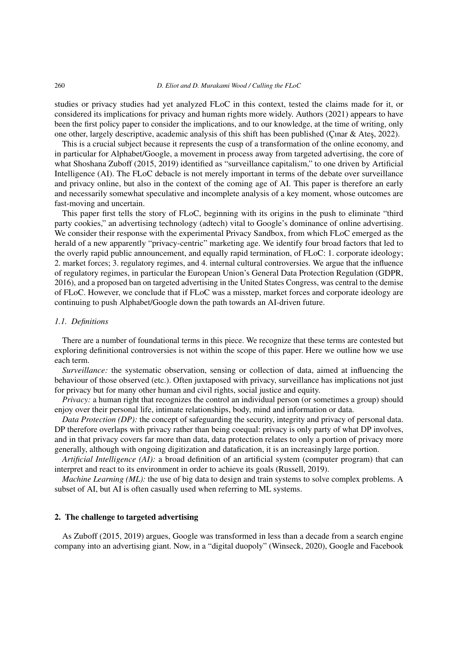studies or privacy studies had yet analyzed FLoC in this context, tested the claims made for it, or considered its implications for privacy and human rights more widely. Authors (2021) appears to have been the first policy paper to consider the implications, and to our knowledge, at the time of writing, only one other, largely descriptive, academic analysis of this shift has been published (Çınar & Ateş, 2022).

This is a crucial subject because it represents the cusp of a transformation of the online economy, and in particular for Alphabet/Google, a movement in process away from targeted advertising, the core of what Shoshana Zuboff (2015, 2019) identified as "surveillance capitalism," to one driven by Artificial Intelligence (AI). The FLoC debacle is not merely important in terms of the debate over surveillance and privacy online, but also in the context of the coming age of AI. This paper is therefore an early and necessarily somewhat speculative and incomplete analysis of a key moment, whose outcomes are fast-moving and uncertain.

This paper first tells the story of FLoC, beginning with its origins in the push to eliminate "third party cookies," an advertising technology (adtech) vital to Google's dominance of online advertising. We consider their response with the experimental Privacy Sandbox, from which FLoC emerged as the herald of a new apparently "privacy-centric" marketing age. We identify four broad factors that led to the overly rapid public announcement, and equally rapid termination, of FLoC: 1. corporate ideology; 2. market forces; 3. regulatory regimes, and 4. internal cultural controversies. We argue that the influence of regulatory regimes, in particular the European Union's General Data Protection Regulation (GDPR, 2016), and a proposed ban on targeted advertising in the United States Congress, was central to the demise of FLoC. However, we conclude that if FLoC was a misstep, market forces and corporate ideology are continuing to push Alphabet/Google down the path towards an AI-driven future.

#### *1.1. Definitions*

There are a number of foundational terms in this piece. We recognize that these terms are contested but exploring definitional controversies is not within the scope of this paper. Here we outline how we use each term.

*Surveillance:* the systematic observation, sensing or collection of data, aimed at influencing the behaviour of those observed (etc.). Often juxtaposed with privacy, surveillance has implications not just for privacy but for many other human and civil rights, social justice and equity.

*Privacy*: a human right that recognizes the control an individual person (or sometimes a group) should enjoy over their personal life, intimate relationships, body, mind and information or data.

*Data Protection (DP):* the concept of safeguarding the security, integrity and privacy of personal data. DP therefore overlaps with privacy rather than being coequal: privacy is only party of what DP involves, and in that privacy covers far more than data, data protection relates to only a portion of privacy more generally, although with ongoing digitization and datafication, it is an increasingly large portion.

*Artificial Intelligence (AI):* a broad definition of an artificial system (computer program) that can interpret and react to its environment in order to achieve its goals (Russell, 2019).

*Machine Learning (ML):* the use of big data to design and train systems to solve complex problems. A subset of AI, but AI is often casually used when referring to ML systems.

# 2. The challenge to targeted advertising

As Zuboff (2015, 2019) argues, Google was transformed in less than a decade from a search engine company into an advertising giant. Now, in a "digital duopoly" (Winseck, 2020), Google and Facebook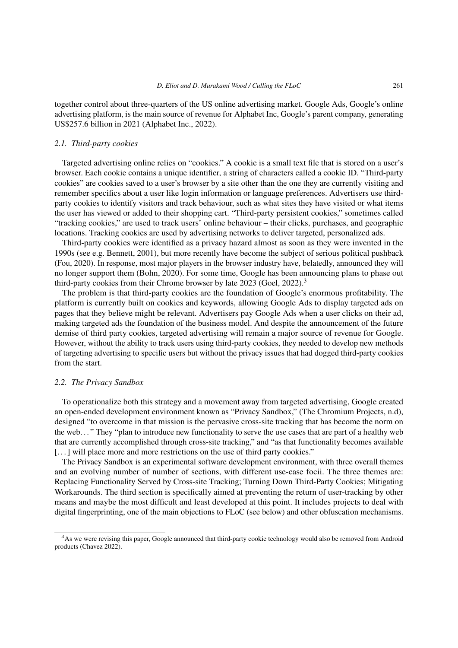together control about three-quarters of the US online advertising market. Google Ads, Google's online advertising platform, is the main source of revenue for Alphabet Inc, Google's parent company, generating US\$257.6 billion in 2021 (Alphabet Inc., 2022).

#### *2.1. Third-party cookies*

Targeted advertising online relies on "cookies." A cookie is a small text file that is stored on a user's browser. Each cookie contains a unique identifier, a string of characters called a cookie ID. "Third-party cookies" are cookies saved to a user's browser by a site other than the one they are currently visiting and remember specifics about a user like login information or language preferences. Advertisers use thirdparty cookies to identify visitors and track behaviour, such as what sites they have visited or what items the user has viewed or added to their shopping cart. "Third-party persistent cookies," sometimes called "tracking cookies," are used to track users' online behaviour – their clicks, purchases, and geographic locations. Tracking cookies are used by advertising networks to deliver targeted, personalized ads.

Third-party cookies were identified as a privacy hazard almost as soon as they were invented in the 1990s (see e.g. Bennett, 2001), but more recently have become the subject of serious political pushback (Fou, 2020). In response, most major players in the browser industry have, belatedly, announced they will no longer support them (Bohn, 2020). For some time, Google has been announcing plans to phase out third-party cookies from their Chrome browser by late 202[3](#page-2-0) (Goel, 2022).<sup>3</sup>

The problem is that third-party cookies are the foundation of Google's enormous profitability. The platform is currently built on cookies and keywords, allowing Google Ads to display targeted ads on pages that they believe might be relevant. Advertisers pay Google Ads when a user clicks on their ad, making targeted ads the foundation of the business model. And despite the announcement of the future demise of third party cookies, targeted advertising will remain a major source of revenue for Google. However, without the ability to track users using third-party cookies, they needed to develop new methods of targeting advertising to specific users but without the privacy issues that had dogged third-party cookies from the start.

## *2.2. The Privacy Sandbox*

To operationalize both this strategy and a movement away from targeted advertising, Google created an open-ended development environment known as "Privacy Sandbox," (The Chromium Projects, n.d), designed "to overcome in that mission is the pervasive cross-site tracking that has become the norm on the web. . . " They "plan to introduce new functionality to serve the use cases that are part of a healthy web that are currently accomplished through cross-site tracking," and "as that functionality becomes available [...] will place more and more restrictions on the use of third party cookies."

The Privacy Sandbox is an experimental software development environment, with three overall themes and an evolving number of number of sections, with different use-case focii. The three themes are: Replacing Functionality Served by Cross-site Tracking; Turning Down Third-Party Cookies; Mitigating Workarounds. The third section is specifically aimed at preventing the return of user-tracking by other means and maybe the most difficult and least developed at this point. It includes projects to deal with digital fingerprinting, one of the main objections to FLoC (see below) and other obfuscation mechanisms.

<span id="page-2-0"></span><sup>&</sup>lt;sup>3</sup>As we were revising this paper, Google announced that third-party cookie technology would also be removed from Android products (Chavez 2022).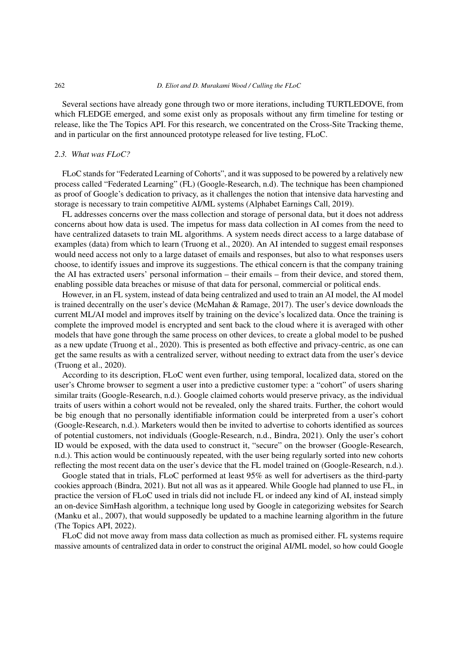#### 262 *D. Eliot and D. Murakami Wood / Culling the FLoC*

Several sections have already gone through two or more iterations, including TURTLEDOVE, from which FLEDGE emerged, and some exist only as proposals without any firm timeline for testing or release, like the The Topics API. For this research, we concentrated on the Cross-Site Tracking theme, and in particular on the first announced prototype released for live testing, FLoC.

#### *2.3. What was FLoC?*

FLoC stands for "Federated Learning of Cohorts", and it was supposed to be powered by a relatively new process called "Federated Learning" (FL) (Google-Research, n.d). The technique has been championed as proof of Google's dedication to privacy, as it challenges the notion that intensive data harvesting and storage is necessary to train competitive AI/ML systems (Alphabet Earnings Call, 2019).

FL addresses concerns over the mass collection and storage of personal data, but it does not address concerns about how data is used. The impetus for mass data collection in AI comes from the need to have centralized datasets to train ML algorithms. A system needs direct access to a large database of examples (data) from which to learn (Truong et al., 2020). An AI intended to suggest email responses would need access not only to a large dataset of emails and responses, but also to what responses users choose, to identify issues and improve its suggestions. The ethical concern is that the company training the AI has extracted users' personal information – their emails – from their device, and stored them, enabling possible data breaches or misuse of that data for personal, commercial or political ends.

However, in an FL system, instead of data being centralized and used to train an AI model, the AI model is trained decentrally on the user's device (McMahan & Ramage, 2017). The user's device downloads the current ML/AI model and improves itself by training on the device's localized data. Once the training is complete the improved model is encrypted and sent back to the cloud where it is averaged with other models that have gone through the same process on other devices, to create a global model to be pushed as a new update (Truong et al., 2020). This is presented as both effective and privacy-centric, as one can get the same results as with a centralized server, without needing to extract data from the user's device (Truong et al., 2020).

According to its description, FLoC went even further, using temporal, localized data, stored on the user's Chrome browser to segment a user into a predictive customer type: a "cohort" of users sharing similar traits (Google-Research, n.d.). Google claimed cohorts would preserve privacy, as the individual traits of users within a cohort would not be revealed, only the shared traits. Further, the cohort would be big enough that no personally identifiable information could be interpreted from a user's cohort (Google-Research, n.d.). Marketers would then be invited to advertise to cohorts identified as sources of potential customers, not individuals (Google-Research, n.d., Bindra, 2021). Only the user's cohort ID would be exposed, with the data used to construct it, "secure" on the browser (Google-Research, n.d.). This action would be continuously repeated, with the user being regularly sorted into new cohorts reflecting the most recent data on the user's device that the FL model trained on (Google-Research, n.d.).

Google stated that in trials, FLoC performed at least 95% as well for advertisers as the third-party cookies approach (Bindra, 2021). But not all was as it appeared. While Google had planned to use FL, in practice the version of FLoC used in trials did not include FL or indeed any kind of AI, instead simply an on-device SimHash algorithm, a technique long used by Google in categorizing websites for Search (Manku et al., 2007), that would supposedly be updated to a machine learning algorithm in the future (The Topics API, 2022).

FLoC did not move away from mass data collection as much as promised either. FL systems require massive amounts of centralized data in order to construct the original AI/ML model, so how could Google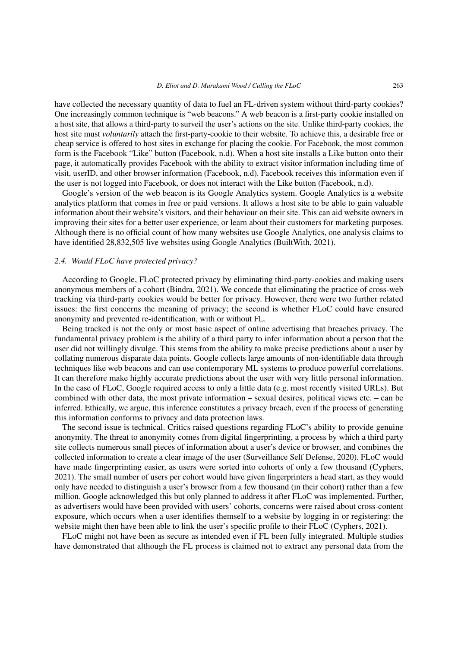have collected the necessary quantity of data to fuel an FL-driven system without third-party cookies? One increasingly common technique is "web beacons." A web beacon is a first-party cookie installed on a host site, that allows a third-party to surveil the user's actions on the site. Unlike third-party cookies, the host site must *voluntarily* attach the first-party-cookie to their website. To achieve this, a desirable free or cheap service is offered to host sites in exchange for placing the cookie. For Facebook, the most common form is the Facebook "Like" button (Facebook, n.d). When a host site installs a Like button onto their page, it automatically provides Facebook with the ability to extract visitor information including time of visit, userID, and other browser information (Facebook, n.d). Facebook receives this information even if the user is not logged into Facebook, or does not interact with the Like button (Facebook, n.d).

Google's version of the web beacon is its Google Analytics system. Google Analytics is a website analytics platform that comes in free or paid versions. It allows a host site to be able to gain valuable information about their website's visitors, and their behaviour on their site. This can aid website owners in improving their sites for a better user experience, or learn about their customers for marketing purposes. Although there is no official count of how many websites use Google Analytics, one analysis claims to have identified 28,832,505 live websites using Google Analytics (BuiltWith, 2021).

#### *2.4. Would FLoC have protected privacy?*

According to Google, FLoC protected privacy by eliminating third-party-cookies and making users anonymous members of a cohort (Bindra, 2021). We concede that eliminating the practice of cross-web tracking via third-party cookies would be better for privacy. However, there were two further related issues: the first concerns the meaning of privacy; the second is whether FLoC could have ensured anonymity and prevented re-identification, with or without FL.

Being tracked is not the only or most basic aspect of online advertising that breaches privacy. The fundamental privacy problem is the ability of a third party to infer information about a person that the user did not willingly divulge. This stems from the ability to make precise predictions about a user by collating numerous disparate data points. Google collects large amounts of non-identifiable data through techniques like web beacons and can use contemporary ML systems to produce powerful correlations. It can therefore make highly accurate predictions about the user with very little personal information. In the case of FLoC, Google required access to only a little data (e.g. most recently visited URLs). But combined with other data, the most private information – sexual desires, political views etc. – can be inferred. Ethically, we argue, this inference constitutes a privacy breach, even if the process of generating this information conforms to privacy and data protection laws.

The second issue is technical. Critics raised questions regarding FLoC's ability to provide genuine anonymity. The threat to anonymity comes from digital fingerprinting, a process by which a third party site collects numerous small pieces of information about a user's device or browser, and combines the collected information to create a clear image of the user (Surveillance Self Defense, 2020). FLoC would have made fingerprinting easier, as users were sorted into cohorts of only a few thousand (Cyphers, 2021). The small number of users per cohort would have given fingerprinters a head start, as they would only have needed to distinguish a user's browser from a few thousand (in their cohort) rather than a few million. Google acknowledged this but only planned to address it after FLoC was implemented. Further, as advertisers would have been provided with users' cohorts, concerns were raised about cross-content exposure, which occurs when a user identifies themself to a website by logging in or registering: the website might then have been able to link the user's specific profile to their FLoC (Cyphers, 2021).

FLoC might not have been as secure as intended even if FL been fully integrated. Multiple studies have demonstrated that although the FL process is claimed not to extract any personal data from the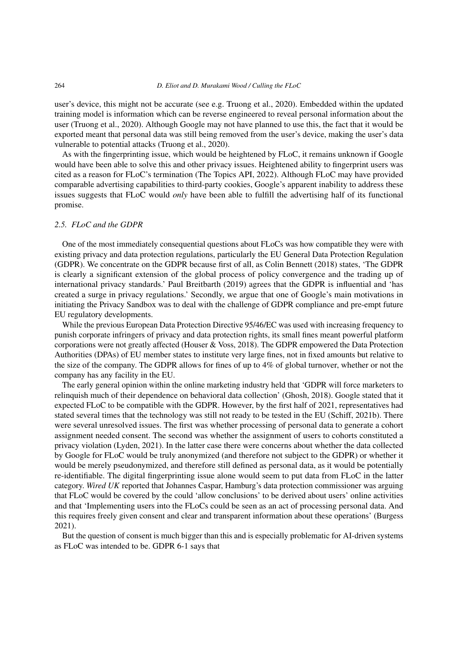user's device, this might not be accurate (see e.g. Truong et al., 2020). Embedded within the updated training model is information which can be reverse engineered to reveal personal information about the user (Truong et al., 2020). Although Google may not have planned to use this, the fact that it would be exported meant that personal data was still being removed from the user's device, making the user's data vulnerable to potential attacks (Truong et al., 2020).

As with the fingerprinting issue, which would be heightened by FLoC, it remains unknown if Google would have been able to solve this and other privacy issues. Heightened ability to fingerprint users was cited as a reason for FLoC's termination (The Topics API, 2022). Although FLoC may have provided comparable advertising capabilities to third-party cookies, Google's apparent inability to address these issues suggests that FLoC would *only* have been able to fulfill the advertising half of its functional promise.

## *2.5. FLoC and the GDPR*

One of the most immediately consequential questions about FLoCs was how compatible they were with existing privacy and data protection regulations, particularly the EU General Data Protection Regulation (GDPR). We concentrate on the GDPR because first of all, as Colin Bennett (2018) states, 'The GDPR is clearly a significant extension of the global process of policy convergence and the trading up of international privacy standards.' Paul Breitbarth (2019) agrees that the GDPR is influential and 'has created a surge in privacy regulations.' Secondly, we argue that one of Google's main motivations in initiating the Privacy Sandbox was to deal with the challenge of GDPR compliance and pre-empt future EU regulatory developments.

While the previous European Data Protection Directive 95/46/EC was used with increasing frequency to punish corporate infringers of privacy and data protection rights, its small fines meant powerful platform corporations were not greatly affected (Houser & Voss, 2018). The GDPR empowered the Data Protection Authorities (DPAs) of EU member states to institute very large fines, not in fixed amounts but relative to the size of the company. The GDPR allows for fines of up to 4% of global turnover, whether or not the company has any facility in the EU.

The early general opinion within the online marketing industry held that 'GDPR will force marketers to relinquish much of their dependence on behavioral data collection' (Ghosh, 2018). Google stated that it expected FLoC to be compatible with the GDPR. However, by the first half of 2021, representatives had stated several times that the technology was still not ready to be tested in the EU (Schiff, 2021b). There were several unresolved issues. The first was whether processing of personal data to generate a cohort assignment needed consent. The second was whether the assignment of users to cohorts constituted a privacy violation (Lyden, 2021). In the latter case there were concerns about whether the data collected by Google for FLoC would be truly anonymized (and therefore not subject to the GDPR) or whether it would be merely pseudonymized, and therefore still defined as personal data, as it would be potentially re-identifiable. The digital fingerprinting issue alone would seem to put data from FLoC in the latter category. *Wired UK* reported that Johannes Caspar, Hamburg's data protection commissioner was arguing that FLoC would be covered by the could 'allow conclusions' to be derived about users' online activities and that 'Implementing users into the FLoCs could be seen as an act of processing personal data. And this requires freely given consent and clear and transparent information about these operations' (Burgess 2021).

But the question of consent is much bigger than this and is especially problematic for AI-driven systems as FLoC was intended to be. GDPR 6-1 says that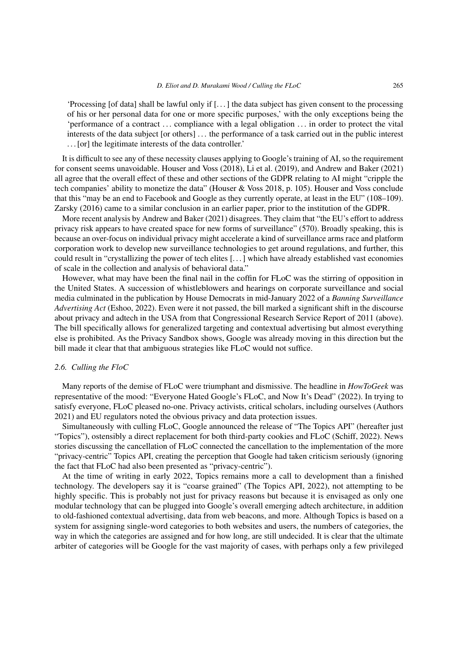'Processing [of data] shall be lawful only if [. . . ] the data subject has given consent to the processing of his or her personal data for one or more specific purposes,' with the only exceptions being the 'performance of a contract . . . compliance with a legal obligation . . . in order to protect the vital interests of the data subject [or others] . . . the performance of a task carried out in the public interest . . . [or] the legitimate interests of the data controller.'

It is difficult to see any of these necessity clauses applying to Google's training of AI, so the requirement for consent seems unavoidable. Houser and Voss (2018), Li et al. (2019), and Andrew and Baker (2021) all agree that the overall effect of these and other sections of the GDPR relating to AI might "cripple the tech companies' ability to monetize the data" (Houser & Voss 2018, p. 105). Houser and Voss conclude that this "may be an end to Facebook and Google as they currently operate, at least in the EU" (108–109). Zarsky (2016) came to a similar conclusion in an earlier paper, prior to the institution of the GDPR.

More recent analysis by Andrew and Baker (2021) disagrees. They claim that "the EU's effort to address privacy risk appears to have created space for new forms of surveillance" (570). Broadly speaking, this is because an over-focus on individual privacy might accelerate a kind of surveillance arms race and platform corporation work to develop new surveillance technologies to get around regulations, and further, this could result in "crystallizing the power of tech elites [. . . ] which have already established vast economies of scale in the collection and analysis of behavioral data."

However, what may have been the final nail in the coffin for FLoC was the stirring of opposition in the United States. A succession of whistleblowers and hearings on corporate surveillance and social media culminated in the publication by House Democrats in mid-January 2022 of a *Banning Surveillance Advertising Act* (Eshoo, 2022). Even were it not passed, the bill marked a significant shift in the discourse about privacy and adtech in the USA from that Congressional Research Service Report of 2011 (above). The bill specifically allows for generalized targeting and contextual advertising but almost everything else is prohibited. As the Privacy Sandbox shows, Google was already moving in this direction but the bill made it clear that that ambiguous strategies like FLoC would not suffice.

## *2.6. Culling the FloC*

Many reports of the demise of FLoC were triumphant and dismissive. The headline in *HowToGeek* was representative of the mood: "Everyone Hated Google's FLoC, and Now It's Dead" (2022). In trying to satisfy everyone, FLoC pleased no-one. Privacy activists, critical scholars, including ourselves (Authors 2021) and EU regulators noted the obvious privacy and data protection issues.

Simultaneously with culling FLoC, Google announced the release of "The Topics API" (hereafter just "Topics"), ostensibly a direct replacement for both third-party cookies and FLoC (Schiff, 2022). News stories discussing the cancellation of FLoC connected the cancellation to the implementation of the more "privacy-centric" Topics API, creating the perception that Google had taken criticism seriously (ignoring the fact that FLoC had also been presented as "privacy-centric").

At the time of writing in early 2022, Topics remains more a call to development than a finished technology. The developers say it is "coarse grained" (The Topics API, 2022), not attempting to be highly specific. This is probably not just for privacy reasons but because it is envisaged as only one modular technology that can be plugged into Google's overall emerging adtech architecture, in addition to old-fashioned contextual advertising, data from web beacons, and more. Although Topics is based on a system for assigning single-word categories to both websites and users, the numbers of categories, the way in which the categories are assigned and for how long, are still undecided. It is clear that the ultimate arbiter of categories will be Google for the vast majority of cases, with perhaps only a few privileged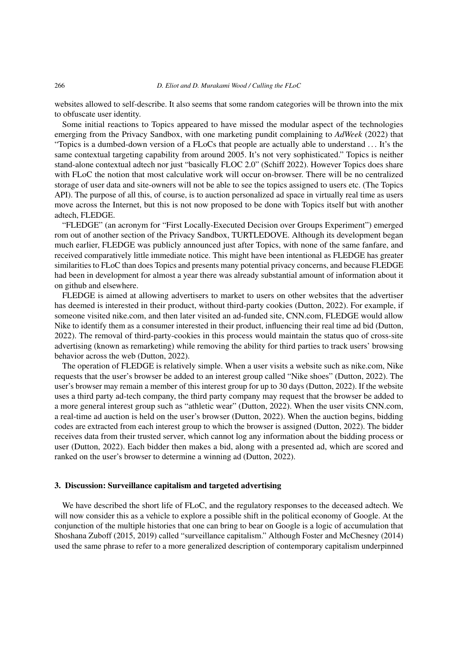websites allowed to self-describe. It also seems that some random categories will be thrown into the mix to obfuscate user identity.

Some initial reactions to Topics appeared to have missed the modular aspect of the technologies emerging from the Privacy Sandbox, with one marketing pundit complaining to *AdWeek* (2022) that "Topics is a dumbed-down version of a FLoCs that people are actually able to understand . . . It's the same contextual targeting capability from around 2005. It's not very sophisticated." Topics is neither stand-alone contextual adtech nor just "basically FLOC 2.0" (Schiff 2022). However Topics does share with FLoC the notion that most calculative work will occur on-browser. There will be no centralized storage of user data and site-owners will not be able to see the topics assigned to users etc. (The Topics API). The purpose of all this, of course, is to auction personalized ad space in virtually real time as users move across the Internet, but this is not now proposed to be done with Topics itself but with another adtech, FLEDGE.

"FLEDGE" (an acronym for "First Locally-Executed Decision over Groups Experiment") emerged rom out of another section of the Privacy Sandbox, TURTLEDOVE. Although its development began much earlier, FLEDGE was publicly announced just after Topics, with none of the same fanfare, and received comparatively little immediate notice. This might have been intentional as FLEDGE has greater similarities to FLoC than does Topics and presents many potential privacy concerns, and because FLEDGE had been in development for almost a year there was already substantial amount of information about it on github and elsewhere.

FLEDGE is aimed at allowing advertisers to market to users on other websites that the advertiser has deemed is interested in their product, without third-party cookies (Dutton, 2022). For example, if someone visited nike.com, and then later visited an ad-funded site, CNN.com, FLEDGE would allow Nike to identify them as a consumer interested in their product, influencing their real time ad bid (Dutton, 2022). The removal of third-party-cookies in this process would maintain the status quo of cross-site advertising (known as remarketing) while removing the ability for third parties to track users' browsing behavior across the web (Dutton, 2022).

The operation of FLEDGE is relatively simple. When a user visits a website such as nike.com, Nike requests that the user's browser be added to an interest group called "Nike shoes" (Dutton, 2022). The user's browser may remain a member of this interest group for up to 30 days (Dutton, 2022). If the website uses a third party ad-tech company, the third party company may request that the browser be added to a more general interest group such as "athletic wear" (Dutton, 2022). When the user visits CNN.com, a real-time ad auction is held on the user's browser (Dutton, 2022). When the auction begins, bidding codes are extracted from each interest group to which the browser is assigned (Dutton, 2022). The bidder receives data from their trusted server, which cannot log any information about the bidding process or user (Dutton, 2022). Each bidder then makes a bid, along with a presented ad, which are scored and ranked on the user's browser to determine a winning ad (Dutton, 2022).

## 3. Discussion: Surveillance capitalism and targeted advertising

We have described the short life of FLoC, and the regulatory responses to the deceased adtech. We will now consider this as a vehicle to explore a possible shift in the political economy of Google. At the conjunction of the multiple histories that one can bring to bear on Google is a logic of accumulation that Shoshana Zuboff (2015, 2019) called "surveillance capitalism." Although Foster and McChesney (2014) used the same phrase to refer to a more generalized description of contemporary capitalism underpinned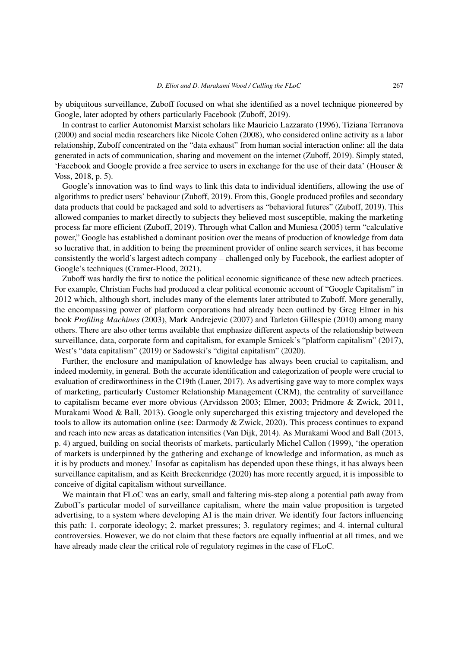by ubiquitous surveillance, Zuboff focused on what she identified as a novel technique pioneered by Google, later adopted by others particularly Facebook (Zuboff, 2019).

In contrast to earlier Autonomist Marxist scholars like Mauricio Lazzarato (1996), Tiziana Terranova (2000) and social media researchers like Nicole Cohen (2008), who considered online activity as a labor relationship, Zuboff concentrated on the "data exhaust" from human social interaction online: all the data generated in acts of communication, sharing and movement on the internet (Zuboff, 2019). Simply stated, 'Facebook and Google provide a free service to users in exchange for the use of their data' (Houser & Voss, 2018, p. 5).

Google's innovation was to find ways to link this data to individual identifiers, allowing the use of algorithms to predict users' behaviour (Zuboff, 2019). From this, Google produced profiles and secondary data products that could be packaged and sold to advertisers as "behavioral futures" (Zuboff, 2019). This allowed companies to market directly to subjects they believed most susceptible, making the marketing process far more efficient (Zuboff, 2019). Through what Callon and Muniesa (2005) term "calculative power," Google has established a dominant position over the means of production of knowledge from data so lucrative that, in addition to being the preeminent provider of online search services, it has become consistently the world's largest adtech company – challenged only by Facebook, the earliest adopter of Google's techniques (Cramer-Flood, 2021).

Zuboff was hardly the first to notice the political economic significance of these new adtech practices. For example, Christian Fuchs had produced a clear political economic account of "Google Capitalism" in 2012 which, although short, includes many of the elements later attributed to Zuboff. More generally, the encompassing power of platform corporations had already been outlined by Greg Elmer in his book *Profiling Machines* (2003), Mark Andrejevic (2007) and Tarleton Gillespie (2010) among many others. There are also other terms available that emphasize different aspects of the relationship between surveillance, data, corporate form and capitalism, for example Srnicek's "platform capitalism" (2017), West's "data capitalism" (2019) or Sadowski's "digital capitalism" (2020).

Further, the enclosure and manipulation of knowledge has always been crucial to capitalism, and indeed modernity, in general. Both the accurate identification and categorization of people were crucial to evaluation of creditworthiness in the C19th (Lauer, 2017). As advertising gave way to more complex ways of marketing, particularly Customer Relationship Management (CRM), the centrality of surveillance to capitalism became ever more obvious (Arvidsson 2003; Elmer, 2003; Pridmore & Zwick, 2011, Murakami Wood & Ball, 2013). Google only supercharged this existing trajectory and developed the tools to allow its automation online (see: Darmody & Zwick, 2020). This process continues to expand and reach into new areas as datafication intensifies (Van Dijk, 2014). As Murakami Wood and Ball (2013, p. 4) argued, building on social theorists of markets, particularly Michel Callon (1999), 'the operation of markets is underpinned by the gathering and exchange of knowledge and information, as much as it is by products and money.' Insofar as capitalism has depended upon these things, it has always been surveillance capitalism, and as Keith Breckenridge (2020) has more recently argued, it is impossible to conceive of digital capitalism without surveillance.

We maintain that FLoC was an early, small and faltering mis-step along a potential path away from Zuboff's particular model of surveillance capitalism, where the main value proposition is targeted advertising, to a system where developing AI is the main driver. We identify four factors influencing this path: 1. corporate ideology; 2. market pressures; 3. regulatory regimes; and 4. internal cultural controversies. However, we do not claim that these factors are equally influential at all times, and we have already made clear the critical role of regulatory regimes in the case of FLoC.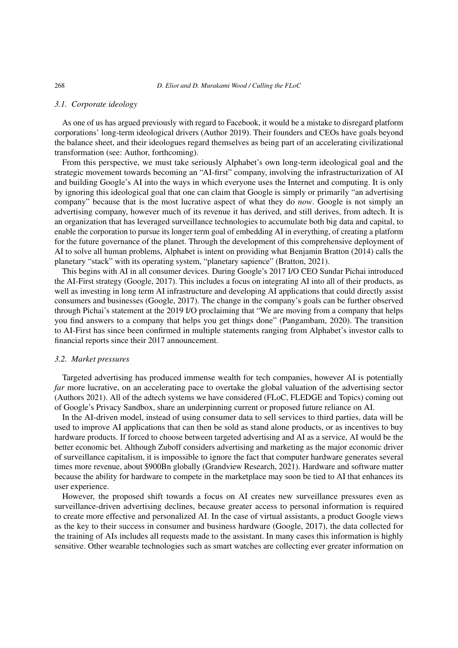#### *3.1. Corporate ideology*

As one of us has argued previously with regard to Facebook, it would be a mistake to disregard platform corporations' long-term ideological drivers (Author 2019). Their founders and CEOs have goals beyond the balance sheet, and their ideologues regard themselves as being part of an accelerating civilizational transformation (see: Author, forthcoming).

From this perspective, we must take seriously Alphabet's own long-term ideological goal and the strategic movement towards becoming an "AI-first" company, involving the infrastructurization of AI and building Google's AI into the ways in which everyone uses the Internet and computing. It is only by ignoring this ideological goal that one can claim that Google is simply or primarily "an advertising company" because that is the most lucrative aspect of what they do *now*. Google is not simply an advertising company, however much of its revenue it has derived, and still derives, from adtech. It is an organization that has leveraged surveillance technologies to accumulate both big data and capital, to enable the corporation to pursue its longer term goal of embedding AI in everything, of creating a platform for the future governance of the planet. Through the development of this comprehensive deployment of AI to solve all human problems, Alphabet is intent on providing what Benjamin Bratton (2014) calls the planetary "stack" with its operating system, "planetary sapience" (Bratton, 2021).

This begins with AI in all consumer devices. During Google's 2017 I/O CEO Sundar Pichai introduced the AI-First strategy (Google, 2017). This includes a focus on integrating AI into all of their products, as well as investing in long term AI infrastructure and developing AI applications that could directly assist consumers and businesses (Google, 2017). The change in the company's goals can be further observed through Pichai's statement at the 2019 I/O proclaiming that "We are moving from a company that helps you find answers to a company that helps you get things done" (Pangambam, 2020). The transition to AI-First has since been confirmed in multiple statements ranging from Alphabet's investor calls to financial reports since their 2017 announcement.

### *3.2. Market pressures*

Targeted advertising has produced immense wealth for tech companies, however AI is potentially *far* more lucrative, on an accelerating pace to overtake the global valuation of the advertising sector (Authors 2021). All of the adtech systems we have considered (FLoC, FLEDGE and Topics) coming out of Google's Privacy Sandbox, share an underpinning current or proposed future reliance on AI.

In the AI-driven model, instead of using consumer data to sell services to third parties, data will be used to improve AI applications that can then be sold as stand alone products, or as incentives to buy hardware products. If forced to choose between targeted advertising and AI as a service, AI would be the better economic bet. Although Zuboff considers advertising and marketing as the major economic driver of surveillance capitalism, it is impossible to ignore the fact that computer hardware generates several times more revenue, about \$900Bn globally (Grandview Research, 2021). Hardware and software matter because the ability for hardware to compete in the marketplace may soon be tied to AI that enhances its user experience.

However, the proposed shift towards a focus on AI creates new surveillance pressures even as surveillance-driven advertising declines, because greater access to personal information is required to create more effective and personalized AI. In the case of virtual assistants, a product Google views as the key to their success in consumer and business hardware (Google, 2017), the data collected for the training of AIs includes all requests made to the assistant. In many cases this information is highly sensitive. Other wearable technologies such as smart watches are collecting ever greater information on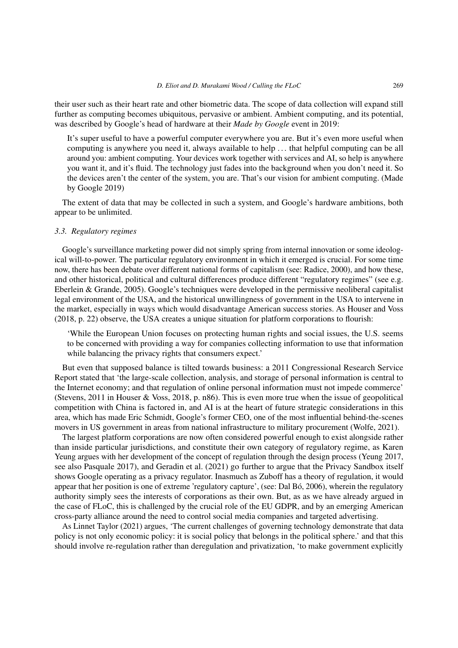their user such as their heart rate and other biometric data. The scope of data collection will expand still further as computing becomes ubiquitous, pervasive or ambient. Ambient computing, and its potential, was described by Google's head of hardware at their *Made by Google* event in 2019:

It's super useful to have a powerful computer everywhere you are. But it's even more useful when computing is anywhere you need it, always available to help . . . that helpful computing can be all around you: ambient computing. Your devices work together with services and AI, so help is anywhere you want it, and it's fluid. The technology just fades into the background when you don't need it. So the devices aren't the center of the system, you are. That's our vision for ambient computing. (Made by Google 2019)

The extent of data that may be collected in such a system, and Google's hardware ambitions, both appear to be unlimited.

# *3.3. Regulatory regimes*

Google's surveillance marketing power did not simply spring from internal innovation or some ideological will-to-power. The particular regulatory environment in which it emerged is crucial. For some time now, there has been debate over different national forms of capitalism (see: Radice, 2000), and how these, and other historical, political and cultural differences produce different "regulatory regimes" (see e.g. Eberlein & Grande, 2005). Google's techniques were developed in the permissive neoliberal capitalist legal environment of the USA, and the historical unwillingness of government in the USA to intervene in the market, especially in ways which would disadvantage American success stories. As Houser and Voss (2018, p. 22) observe, the USA creates a unique situation for platform corporations to flourish:

'While the European Union focuses on protecting human rights and social issues, the U.S. seems to be concerned with providing a way for companies collecting information to use that information while balancing the privacy rights that consumers expect.'

But even that supposed balance is tilted towards business: a 2011 Congressional Research Service Report stated that 'the large-scale collection, analysis, and storage of personal information is central to the Internet economy; and that regulation of online personal information must not impede commerce' (Stevens, 2011 in Houser & Voss, 2018, p. n86). This is even more true when the issue of geopolitical competition with China is factored in, and AI is at the heart of future strategic considerations in this area, which has made Eric Schmidt, Google's former CEO, one of the most influential behind-the-scenes movers in US government in areas from national infrastructure to military procurement (Wolfe, 2021).

The largest platform corporations are now often considered powerful enough to exist alongside rather than inside particular jurisdictions, and constitute their own category of regulatory regime, as Karen Yeung argues with her development of the concept of regulation through the design process (Yeung 2017, see also Pasquale 2017), and Geradin et al. (2021) go further to argue that the Privacy Sandbox itself shows Google operating as a privacy regulator. Inasmuch as Zuboff has a theory of regulation, it would appear that her position is one of extreme 'regulatory capture', (see: Dal Bó, 2006), wherein the regulatory authority simply sees the interests of corporations as their own. But, as as we have already argued in the case of FLoC, this is challenged by the crucial role of the EU GDPR, and by an emerging American cross-party alliance around the need to control social media companies and targeted advertising.

As Linnet Taylor (2021) argues, 'The current challenges of governing technology demonstrate that data policy is not only economic policy: it is social policy that belongs in the political sphere.' and that this should involve re-regulation rather than deregulation and privatization, 'to make government explicitly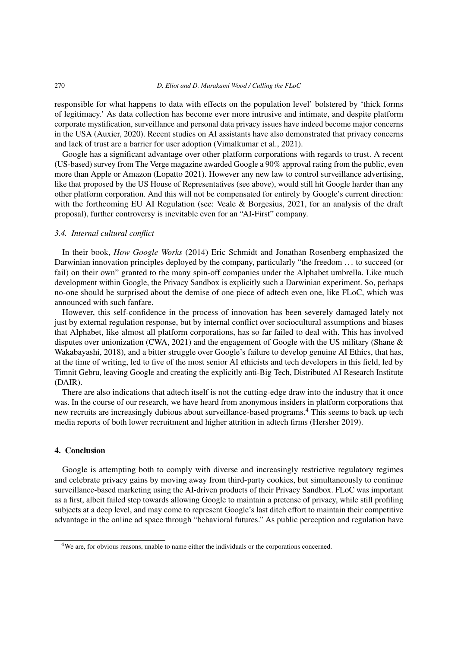#### 270 *D. Eliot and D. Murakami Wood / Culling the FLoC*

responsible for what happens to data with effects on the population level' bolstered by 'thick forms of legitimacy.' As data collection has become ever more intrusive and intimate, and despite platform corporate mystification, surveillance and personal data privacy issues have indeed become major concerns in the USA (Auxier, 2020). Recent studies on AI assistants have also demonstrated that privacy concerns and lack of trust are a barrier for user adoption (Vimalkumar et al., 2021).

Google has a significant advantage over other platform corporations with regards to trust. A recent (US-based) survey from The Verge magazine awarded Google a 90% approval rating from the public, even more than Apple or Amazon (Lopatto 2021). However any new law to control surveillance advertising, like that proposed by the US House of Representatives (see above), would still hit Google harder than any other platform corporation. And this will not be compensated for entirely by Google's current direction: with the forthcoming EU AI Regulation (see: Veale & Borgesius, 2021, for an analysis of the draft proposal), further controversy is inevitable even for an "AI-First" company.

## *3.4. Internal cultural conflict*

In their book, *How Google Works* (2014) Eric Schmidt and Jonathan Rosenberg emphasized the Darwinian innovation principles deployed by the company, particularly "the freedom . . . to succeed (or fail) on their own" granted to the many spin-off companies under the Alphabet umbrella. Like much development within Google, the Privacy Sandbox is explicitly such a Darwinian experiment. So, perhaps no-one should be surprised about the demise of one piece of adtech even one, like FLoC, which was announced with such fanfare.

However, this self-confidence in the process of innovation has been severely damaged lately not just by external regulation response, but by internal conflict over sociocultural assumptions and biases that Alphabet, like almost all platform corporations, has so far failed to deal with. This has involved disputes over unionization (CWA, 2021) and the engagement of Google with the US military (Shane & Wakabayashi, 2018), and a bitter struggle over Google's failure to develop genuine AI Ethics, that has, at the time of writing, led to five of the most senior AI ethicists and tech developers in this field, led by Timnit Gebru, leaving Google and creating the explicitly anti-Big Tech, Distributed AI Research Institute (DAIR).

There are also indications that adtech itself is not the cutting-edge draw into the industry that it once was. In the course of our research, we have heard from anonymous insiders in platform corporations that new recruits are increasingly dubious about surveillance-based programs.[4](#page-11-0) This seems to back up tech media reports of both lower recruitment and higher attrition in adtech firms (Hersher 2019).

## 4. Conclusion

Google is attempting both to comply with diverse and increasingly restrictive regulatory regimes and celebrate privacy gains by moving away from third-party cookies, but simultaneously to continue surveillance-based marketing using the AI-driven products of their Privacy Sandbox. FLoC was important as a first, albeit failed step towards allowing Google to maintain a pretense of privacy, while still profiling subjects at a deep level, and may come to represent Google's last ditch effort to maintain their competitive advantage in the online ad space through "behavioral futures." As public perception and regulation have

<span id="page-11-0"></span><sup>&</sup>lt;sup>4</sup>We are, for obvious reasons, unable to name either the individuals or the corporations concerned.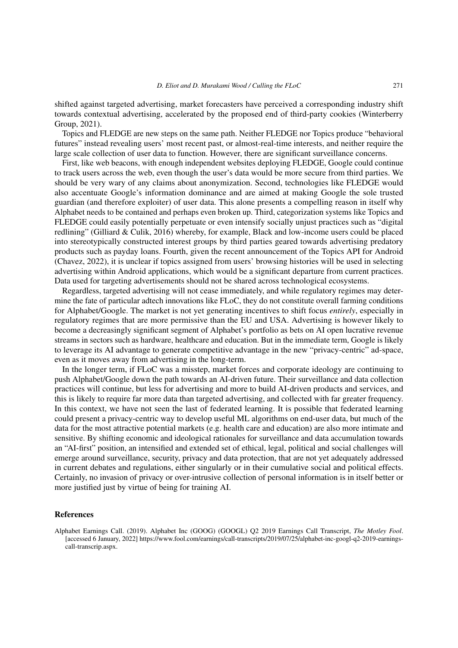shifted against targeted advertising, market forecasters have perceived a corresponding industry shift towards contextual advertising, accelerated by the proposed end of third-party cookies (Winterberry Group, 2021).

Topics and FLEDGE are new steps on the same path. Neither FLEDGE nor Topics produce "behavioral futures" instead revealing users' most recent past, or almost-real-time interests, and neither require the large scale collection of user data to function. However, there are significant surveillance concerns.

First, like web beacons, with enough independent websites deploying FLEDGE, Google could continue to track users across the web, even though the user's data would be more secure from third parties. We should be very wary of any claims about anonymization. Second, technologies like FLEDGE would also accentuate Google's information dominance and are aimed at making Google the sole trusted guardian (and therefore exploiter) of user data. This alone presents a compelling reason in itself why Alphabet needs to be contained and perhaps even broken up. Third, categorization systems like Topics and FLEDGE could easily potentially perpetuate or even intensify socially unjust practices such as "digital redlining" (Gilliard & Culik, 2016) whereby, for example, Black and low-income users could be placed into stereotypically constructed interest groups by third parties geared towards advertising predatory products such as payday loans. Fourth, given the recent announcement of the Topics API for Android (Chavez, 2022), it is unclear if topics assigned from users' browsing histories will be used in selecting advertising within Android applications, which would be a significant departure from current practices. Data used for targeting advertisements should not be shared across technological ecosystems.

Regardless, targeted advertising will not cease immediately, and while regulatory regimes may determine the fate of particular adtech innovations like FLoC, they do not constitute overall farming conditions for Alphabet/Google. The market is not yet generating incentives to shift focus *entirely*, especially in regulatory regimes that are more permissive than the EU and USA. Advertising is however likely to become a decreasingly significant segment of Alphabet's portfolio as bets on AI open lucrative revenue streams in sectors such as hardware, healthcare and education. But in the immediate term, Google is likely to leverage its AI advantage to generate competitive advantage in the new "privacy-centric" ad-space, even as it moves away from advertising in the long-term.

In the longer term, if FLoC was a misstep, market forces and corporate ideology are continuing to push Alphabet/Google down the path towards an AI-driven future. Their surveillance and data collection practices will continue, but less for advertising and more to build AI-driven products and services, and this is likely to require far more data than targeted advertising, and collected with far greater frequency. In this context, we have not seen the last of federated learning. It is possible that federated learning could present a privacy-centric way to develop useful ML algorithms on end-user data, but much of the data for the most attractive potential markets (e.g. health care and education) are also more intimate and sensitive. By shifting economic and ideological rationales for surveillance and data accumulation towards an "AI-first" position, an intensified and extended set of ethical, legal, political and social challenges will emerge around surveillance, security, privacy and data protection, that are not yet adequately addressed in current debates and regulations, either singularly or in their cumulative social and political effects. Certainly, no invasion of privacy or over-intrusive collection of personal information is in itself better or more justified just by virtue of being for training AI.

#### References

Alphabet Earnings Call. (2019). Alphabet Inc (GOOG) (GOOGL) Q2 2019 Earnings Call Transcript, *The Motley Fool*. [accessed 6 January, 2022] https://www.fool.com/earnings/call-transcripts/2019/07/25/alphabet-inc-googl-q2-2019-earningscall-transcrip.aspx.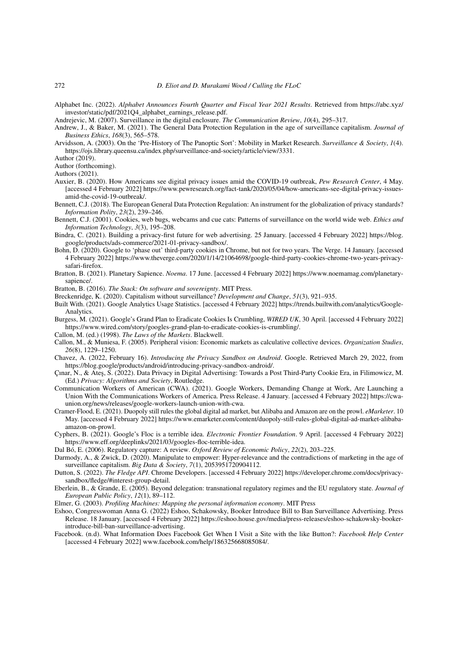Alphabet Inc. (2022). *Alphabet Announces Fourth Quarter and Fiscal Year 2021 Results*. Retrieved from https://abc.xyz/ investor/static/pdf/2021Q4\_alphabet\_earnings\_release.pdf.

Andrejevic, M. (2007). Surveillance in the digital enclosure. *The Communication Review*, *10*(4), 295–317.

Andrew, J., & Baker, M. (2021). The General Data Protection Regulation in the age of surveillance capitalism. *Journal of Business Ethics*, *168*(3), 565–578.

Arvidsson, A. (2003). On the 'Pre-History of The Panoptic Sort': Mobility in Market Research. *Surveillance & Society*, *1*(4). https://ojs.library.queensu.ca/index.php/surveillance-and-society/article/view/3331.

Author (2019).

Author (forthcoming).

Authors (2021).

- Auxier, B. (2020). How Americans see digital privacy issues amid the COVID-19 outbreak, *Pew Research Center*, 4 May. [accessed 4 February 2022] https://www.pewresearch.org/fact-tank/2020/05/04/how-americans-see-digital-privacy-issuesamid-the-covid-19-outbreak/.
- Bennett, C.J. (2018). The European General Data Protection Regulation: An instrument for the globalization of privacy standards? *Information Polity*, *23*(2), 239–246.
- Bennett, C.J. (2001). Cookies, web bugs, webcams and cue cats: Patterns of surveillance on the world wide web. *Ethics and Information Technology*, *3*(3), 195–208.
- Bindra, C. (2021). Building a privacy-first future for web advertising. 25 January. [accessed 4 February 2022] https://blog. google/products/ads-commerce/2021-01-privacy-sandbox/.
- Bohn, D. (2020). Google to 'phase out' third-party cookies in Chrome, but not for two years. The Verge. 14 January. [accessed 4 February 2022] https://www.theverge.com/2020/1/14/21064698/google-third-party-cookies-chrome-two-years-privacysafari-firefox.
- Bratton, B. (2021). Planetary Sapience. *Noema*. 17 June. [accessed 4 February 2022] https://www.noemamag.com/planetarysapience/.

Bratton, B. (2016). *The Stack: On software and sovereignty*. MIT Press.

Breckenridge, K. (2020). Capitalism without surveillance? *Development and Change*, *51*(3), 921–935.

- Built With. (2021). Google Analytics Usage Statistics. [accessed 4 February 2022] https://trends.builtwith.com/analytics/Google-Analytics.
- Burgess, M. (2021). Google's Grand Plan to Eradicate Cookies Is Crumbling, *WIRED UK*, 30 April. [accessed 4 February 2022] https://www.wired.com/story/googles-grand-plan-to-eradicate-cookies-is-crumbling/.

Callon, M. (ed.) (1998). *The Laws of the Markets*. Blackwell.

- Callon, M., & Muniesa, F. (2005). Peripheral vision: Economic markets as calculative collective devices. *Organization Studies*, *26*(8), 1229–1250.
- Chavez, A. (2022, February 16). *Introducing the Privacy Sandbox on Android*. Google. Retrieved March 29, 2022, from https://blog.google/products/android/introducing-privacy-sandbox-android/.
- Cinar, N., & Ateş, S. (2022). Data Privacy in Digital Advertising: Towards a Post Third-Party Cookie Era, in Filimowicz, M. (Ed.) *Privacy: Algorithms and Society*, Routledge.
- Communication Workers of American (CWA). (2021). Google Workers, Demanding Change at Work, Are Launching a Union With the Communications Workers of America. Press Release. 4 January. [accessed 4 February 2022] https://cwaunion.org/news/releases/google-workers-launch-union-with-cwa.
- Cramer-Flood, E. (2021). Duopoly still rules the global digital ad market, but Alibaba and Amazon are on the prowl. *eMarketer*. 10 May. [accessed 4 February 2022] https://www.emarketer.com/content/duopoly-still-rules-global-digital-ad-market-alibabaamazon-on-prowl.
- Cyphers, B. (2021). Google's Floc is a terrible idea. *Electronic Frontier Foundation*. 9 April. [accessed 4 February 2022] https://www.eff.org/deeplinks/2021/03/googles-floc-terrible-idea.
- Dal Bó, E. (2006). Regulatory capture: A review. *Oxford Review of Economic Policy*, *22*(2), 203–225.
- Darmody, A., & Zwick, D. (2020). Manipulate to empower: Hyper-relevance and the contradictions of marketing in the age of surveillance capitalism. *Big Data & Society*, *7*(1), 2053951720904112.
- Dutton, S. (2022). *The Fledge API*. Chrome Developers. [accessed 4 February 2022] https://developer.chrome.com/docs/privacysandbox/fledge/#interest-group-detail.
- Eberlein, B., & Grande, E. (2005). Beyond delegation: transnational regulatory regimes and the EU regulatory state. *Journal of European Public Policy*, *12*(1), 89–112.
- Elmer, G. (2003). *Profiling Machines: Mapping the personal information economy*. MIT Press
- Eshoo, Congresswoman Anna G. (2022) Eshoo, Schakowsky, Booker Introduce Bill to Ban Surveillance Advertising. Press Release. 18 January. [accessed 4 February 2022] https://eshoo.house.gov/media/press-releases/eshoo-schakowsky-bookerintroduce-bill-ban-surveillance-advertising.
- Facebook. (n.d). What Information Does Facebook Get When I Visit a Site with the like Button?: *Facebook Help Center* [accessed 4 February 2022] www.facebook.com/help/186325668085084/.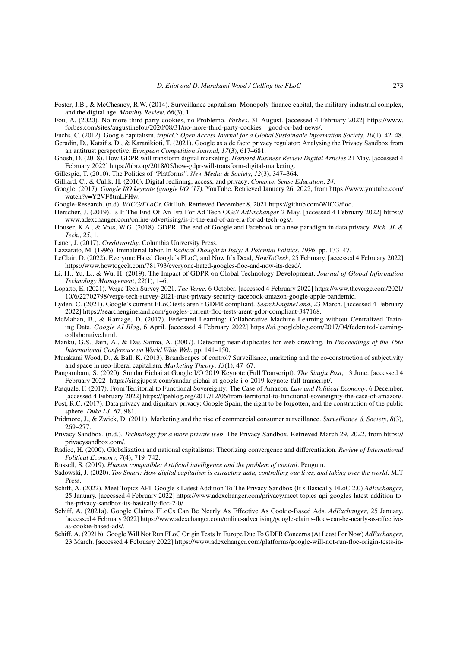- Foster, J.B., & McChesney, R.W. (2014). Surveillance capitalism: Monopoly-finance capital, the military-industrial complex, and the digital age. *Monthly Review*, *66*(3), 1.
- Fou, A. (2020). No more third party cookies, no Problemo. *Forbes*. 31 August. [accessed 4 February 2022] https://www. forbes.com/sites/augustinefou/2020/08/31/no-more-third-party-cookies—good-or-bad-news/.
- Fuchs, C. (2012). Google capitalism. *tripleC: Open Access Journal for a Global Sustainable Information Society*, *10*(1), 42–48.
- Geradin, D., Katsifis, D., & Karanikioti, T. (2021). Google as a de facto privacy regulator: Analysing the Privacy Sandbox from an antitrust perspective. *European Competition Journal*, *17*(3), 617–681.
- Ghosh, D. (2018). How GDPR will transform digital marketing. *Harvard Business Review Digital Articles* 21 May. [accessed 4 February 2022] https://hbr.org/2018/05/how-gdpr-will-transform-digital-marketing.
- Gillespie, T. (2010). The Politics of "Platforms". *New Media & Society*, *12*(3), 347–364.
- Gilliard, C., & Culik, H. (2016). Digital redlining, access, and privacy. *Common Sense Education*, *24*.
- Google. (2017). *Google I/O keynote (google I/O '17)*. YouTube. Retrieved January 26, 2022, from https://www.youtube.com/ watch?v=Y2VF8tmLFHw.
- Google-Research. (n.d). *WICG/FLoCs*. GitHub. Retrieved December 8, 2021 https://github.com/WICG/floc.
- Herscher, J. (2019). Is It The End Of An Era For Ad Tech OGs? *AdExchanger* 2 May. [accessed 4 February 2022] https:// www.adexchanger.com/online-advertising/is-it-the-end-of-an-era-for-ad-tech-ogs/.
- Houser, K.A., & Voss, W.G. (2018). GDPR: The end of Google and Facebook or a new paradigm in data privacy. *Rich. JL & Tech.*, *25*, 1.
- Lauer, J. (2017). *Creditworthy*. Columbia University Press.
- Lazzarato, M. (1996). Immaterial labor. In *Radical Thought in Italy: A Potential Politics*, *1996*, pp. 133–47.
- LeClair, D. (2022). Everyone Hated Google's FLoC, and Now It's Dead, *HowToGeek*, 25 February. [accessed 4 February 2022] https://www.howtogeek.com/781793/everyone-hated-googles-floc-and-now-its-dead/.
- Li, H., Yu, L., & Wu, H. (2019). The Impact of GDPR on Global Technology Development. *Journal of Global Information Technology Management*, *22*(1), 1–6,
- Lopatto, E. (2021). Verge Tech Survey 2021. *The Verge*. 6 October. [accessed 4 February 2022] https://www.theverge.com/2021/ 10/6/22702798/verge-tech-survey-2021-trust-privacy-security-facebook-amazon-google-apple-pandemic.
- Lyden, C. (2021). Google's current FLoC tests aren't GDPR compliant. *SearchEngineLand*, 23 March. [accessed 4 February 2022] https://searchengineland.com/googles-current-floc-tests-arent-gdpr-compliant-347168.
- McMahan, B., & Ramage, D. (2017). Federated Learning: Collaborative Machine Learning without Centralized Training Data. *Google AI Blog*, 6 April. [accessed 4 February 2022] https://ai.googleblog.com/2017/04/federated-learningcollaborative.html.
- Manku, G.S., Jain, A., & Das Sarma, A. (2007). Detecting near-duplicates for web crawling. In *Proceedings of the 16th International Conference on World Wide Web*, pp. 141–150.
- Murakami Wood, D., & Ball, K. (2013). Brandscapes of control? Surveillance, marketing and the co-construction of subjectivity and space in neo-liberal capitalism. *Marketing Theory*, *13*(1), 47–67.
- Pangambam, S. (2020). Sundar Pichai at Google I/O 2019 Keynote (Full Transcript). *The Singju Post*, 13 June. [accessed 4 February 2022] https://singjupost.com/sundar-pichai-at-google-i-o-2019-keynote-full-transcript/.
- Pasquale, F. (2017). From Territorial to Functional Sovereignty: The Case of Amazon. *Law and Political Economy*, 6 December. [accessed 4 February 2022] https://lpeblog.org/2017/12/06/from-territorial-to-functional-sovereignty-the-case-of-amazon/.
- Post, R.C. (2017). Data privacy and dignitary privacy: Google Spain, the right to be forgotten, and the construction of the public sphere. *Duke LJ*, *67*, 981.
- Pridmore, J., & Zwick, D. (2011). Marketing and the rise of commercial consumer surveillance. *Surveillance & Society*, *8*(3), 269–277.
- Privacy Sandbox. (n.d.). *Technology for a more private web*. The Privacy Sandbox. Retrieved March 29, 2022, from https:// privacysandbox.com/.
- Radice, H. (2000). Globalization and national capitalisms: Theorizing convergence and differentiation. *Review of International Political Economy*, *7*(4), 719–742.
- Russell, S. (2019). *Human compatible: Artificial intelligence and the problem of control*. Penguin.
- Sadowski, J. (2020). *Too Smart: How digital capitalism is extracting data, controlling our lives, and taking over the world*. MIT Press.
- Schiff, A. (2022). Meet Topics API, Google's Latest Addition To The Privacy Sandbox (It's Basically FLoC 2.0) *AdExchanger*, 25 January. [accessed 4 February 2022] https://www.adexchanger.com/privacy/meet-topics-api-googles-latest-addition-tothe-privacy-sandbox-its-basically-floc-2-0/.
- Schiff, A. (2021a). Google Claims FLoCs Can Be Nearly As Effective As Cookie-Based Ads. *AdExchanger*, 25 January. [accessed 4 February 2022] https://www.adexchanger.com/online-advertising/google-claims-flocs-can-be-nearly-as-effectiveas-cookie-based-ads/.
- Schiff, A. (2021b). Google Will Not Run FLoC Origin Tests In Europe Due To GDPR Concerns (At Least For Now) *AdExchanger*, 23 March. [accessed 4 February 2022] https://www.adexchanger.com/platforms/google-will-not-run-floc-origin-tests-in-